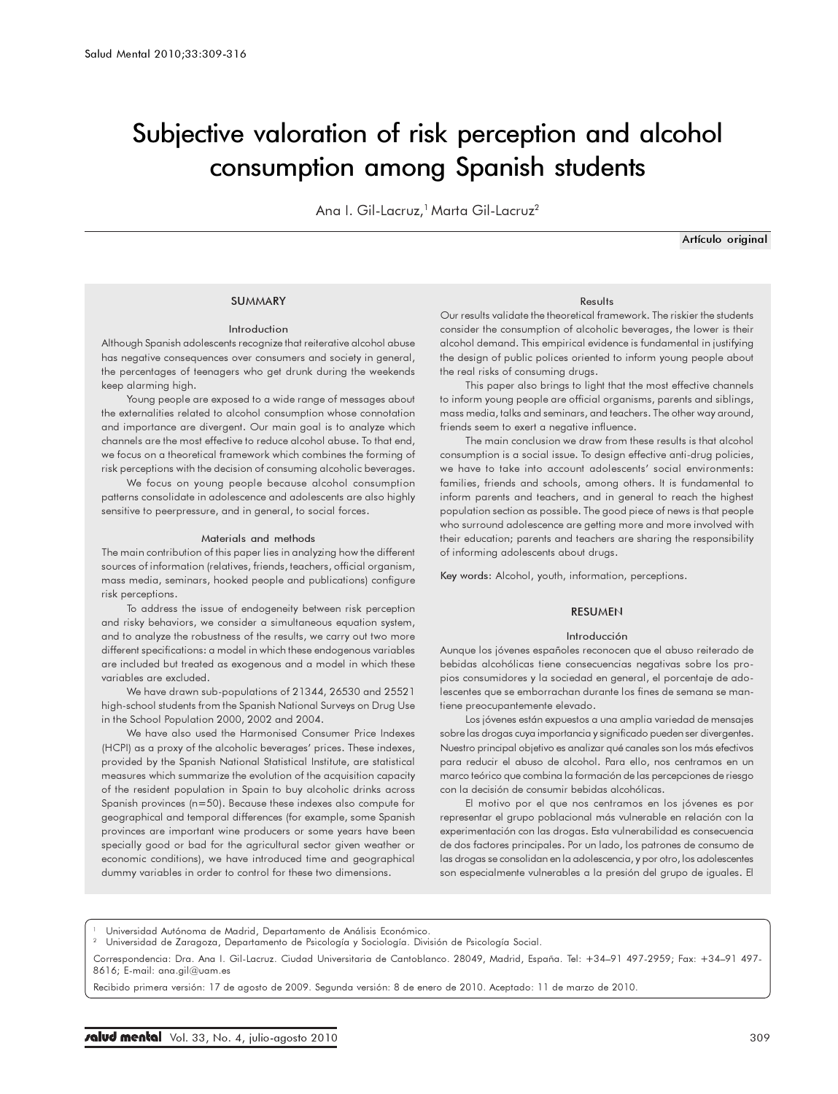# Subjective valoration of risk perception and alcohol consumption among Spanish students

Ana I. Gil-Lacruz,<sup>1</sup> Marta Gil-Lacruz<sup>2</sup>

Artículo original

## **SUMMARY**

#### Introduction

Although Spanish adolescents recognize that reiterative alcohol abuse has negative consequences over consumers and society in general, the percentages of teenagers who get drunk during the weekends keep alarming high.

Young people are exposed to a wide range of messages about the externalities related to alcohol consumption whose connotation and importance are divergent. Our main goal is to analyze which channels are the most effective to reduce alcohol abuse. To that end, we focus on a theoretical framework which combines the forming of risk perceptions with the decision of consuming alcoholic beverages.

We focus on young people because alcohol consumption patterns consolidate in adolescence and adolescents are also highly sensitive to peerpressure, and in general, to social forces.

#### Materials and methods

The main contribution of this paper lies in analyzing how the different sources of information (relatives, friends, teachers, official organism, mass media, seminars, hooked people and publications) configure risk perceptions.

To address the issue of endogeneity between risk perception and risky behaviors, we consider a simultaneous equation system, and to analyze the robustness of the results, we carry out two more different specifications: a model in which these endogenous variables are included but treated as exogenous and a model in which these variables are excluded.

We have drawn sub-populations of 21344, 26530 and 25521 high-school students from the Spanish National Surveys on Drug Use in the School Population 2000, 2002 and 2004.

We have also used the Harmonised Consumer Price Indexes (HCPI) as a proxy of the alcoholic beverages' prices. These indexes, provided by the Spanish National Statistical Institute, are statistical measures which summarize the evolution of the acquisition capacity of the resident population in Spain to buy alcoholic drinks across Spanish provinces (n=50). Because these indexes also compute for geographical and temporal differences (for example, some Spanish provinces are important wine producers or some years have been specially good or bad for the agricultural sector given weather or economic conditions), we have introduced time and geographical dummy variables in order to control for these two dimensions.

#### Results

Our results validate the theoretical framework. The riskier the students consider the consumption of alcoholic beverages, the lower is their alcohol demand. This empirical evidence is fundamental in justifying the design of public polices oriented to inform young people about the real risks of consuming drugs.

This paper also brings to light that the most effective channels to inform young people are official organisms, parents and siblings, mass media, talks and seminars, and teachers. The other way around, friends seem to exert a negative influence.

The main conclusion we draw from these results is that alcohol consumption is a social issue. To design effective anti-drug policies, we have to take into account adolescents' social environments: families, friends and schools, among others. It is fundamental to inform parents and teachers, and in general to reach the highest population section as possible. The good piece of news is that people who surround adolescence are getting more and more involved with their education; parents and teachers are sharing the responsibility of informing adolescents about drugs.

Key words: Alcohol, youth, information, perceptions.

#### RESUMEN

#### Introducción

Aunque los jóvenes españoles reconocen que el abuso reiterado de bebidas alcohólicas tiene consecuencias negativas sobre los propios consumidores y la sociedad en general, el porcentaje de adolescentes que se emborrachan durante los fines de semana se mantiene preocupantemente elevado.

Los jóvenes están expuestos a una amplia variedad de mensajes sobre las drogas cuya importancia y significado pueden ser divergentes. Nuestro principal objetivo es analizar qué canales son los más efectivos para reducir el abuso de alcohol. Para ello, nos centramos en un marco teórico que combina la formación de las percepciones de riesgo con la decisión de consumir bebidas alcohólicas.

El motivo por el que nos centramos en los jóvenes es por representar el grupo poblacional más vulnerable en relación con la experimentación con las drogas. Esta vulnerabilidad es consecuencia de dos factores principales. Por un lado, los patrones de consumo de las drogas se consolidan en la adolescencia, y por otro, los adolescentes son especialmente vulnerables a la presión del grupo de iguales. El

Universidad Autónoma de Madrid, Departamento de Análisis Económico.

<sup>2</sup> Universidad de Zaragoza, Departamento de Psicología y Sociología. División de Psicología Social.

Correspondencia: Dra. Ana I. Gil-Lacruz. Ciudad Universitaria de Cantoblanco. 28049, Madrid, España. Tel: +34–91 497-2959; Fax: +34–91 497- 8616; E-mail: ana.gil@uam.es

Recibido primera versión: 17 de agosto de 2009. Segunda versión: 8 de enero de 2010. Aceptado: 11 de marzo de 2010.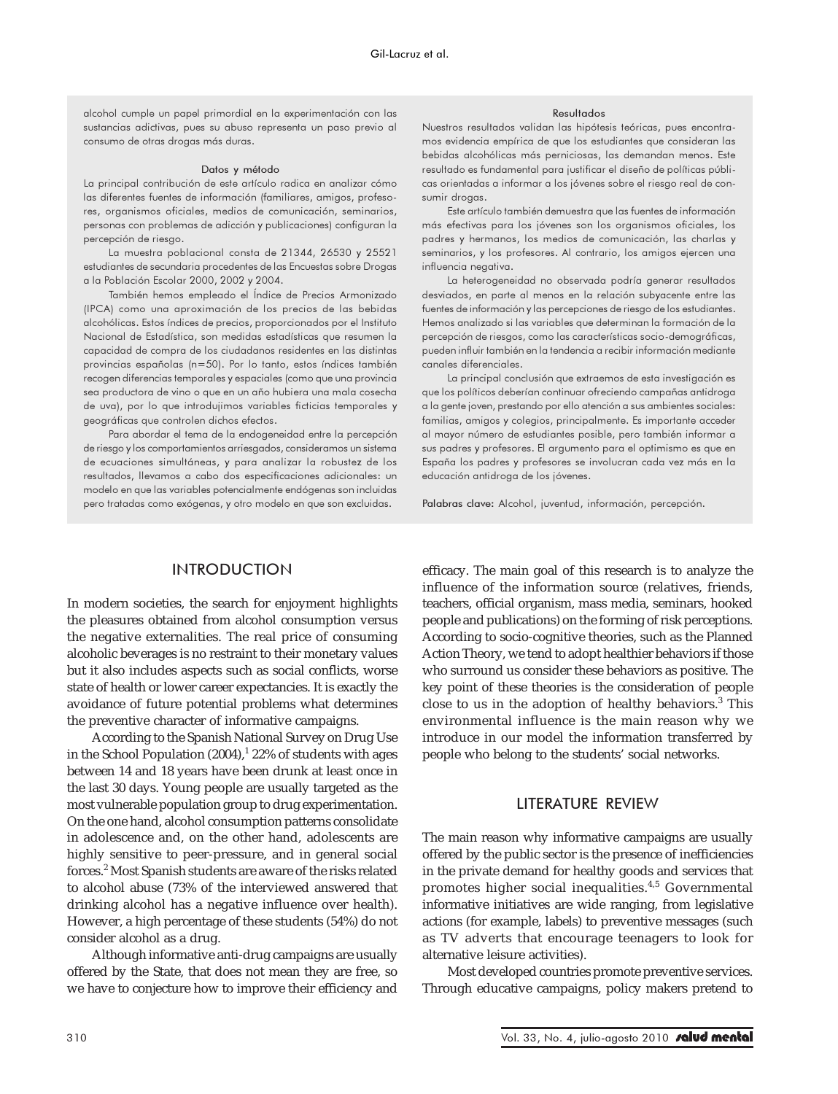alcohol cumple un papel primordial en la experimentación con las sustancias adictivas, pues su abuso representa un paso previo al consumo de otras drogas más duras.

#### Datos y método

La principal contribución de este artículo radica en analizar cómo las diferentes fuentes de información (familiares, amigos, profesores, organismos oficiales, medios de comunicación, seminarios, personas con problemas de adicción y publicaciones) configuran la percepción de riesgo.

La muestra poblacional consta de 21344, 26530 y 25521 estudiantes de secundaria procedentes de las Encuestas sobre Drogas a la Población Escolar 2000, 2002 y 2004.

También hemos empleado el Índice de Precios Armonizado (IPCA) como una aproximación de los precios de las bebidas alcohólicas. Estos índices de precios, proporcionados por el Instituto Nacional de Estadística, son medidas estadísticas que resumen la capacidad de compra de los ciudadanos residentes en las distintas provincias españolas (n=50). Por lo tanto, estos índices también recogen diferencias temporales y espaciales (como que una provincia sea productora de vino o que en un año hubiera una mala cosecha de uva), por lo que introdujimos variables ficticias temporales y geográficas que controlen dichos efectos.

Para abordar el tema de la endogeneidad entre la percepción de riesgo y los comportamientos arriesgados, consideramos un sistema de ecuaciones simultáneas, y para analizar la robustez de los resultados, llevamos a cabo dos especificaciones adicionales: un modelo en que las variables potencialmente endógenas son incluidas pero tratadas como exógenas, y otro modelo en que son excluidas.

### Resultados

Nuestros resultados validan las hipótesis teóricas, pues encontramos evidencia empírica de que los estudiantes que consideran las bebidas alcohólicas más perniciosas, las demandan menos. Este resultado es fundamental para justificar el diseño de políticas públicas orientadas a informar a los jóvenes sobre el riesgo real de consumir drogas.

Este artículo también demuestra que las fuentes de información más efectivas para los jóvenes son los organismos oficiales, los padres y hermanos, los medios de comunicación, las charlas y seminarios, y los profesores. Al contrario, los amigos ejercen una influencia negativa.

La heterogeneidad no observada podría generar resultados desviados, en parte al menos en la relación subyacente entre las fuentes de información y las percepciones de riesgo de los estudiantes. Hemos analizado si las variables que determinan la formación de la percepción de riesgos, como las características socio-demográficas, pueden influir también en la tendencia a recibir información mediante canales diferenciales.

La principal conclusión que extraemos de esta investigación es que los políticos deberían continuar ofreciendo campañas antidroga a la gente joven, prestando por ello atención a sus ambientes sociales: familias, amigos y colegios, principalmente. Es importante acceder al mayor número de estudiantes posible, pero también informar a sus padres y profesores. El argumento para el optimismo es que en España los padres y profesores se involucran cada vez más en la educación antidroga de los jóvenes.

Palabras clave: Alcohol, juventud, información, percepción.

## **INTRODUCTION**

In modern societies, the search for enjoyment highlights the pleasures obtained from alcohol consumption versus the negative externalities. The real price of consuming alcoholic beverages is no restraint to their monetary values but it also includes aspects such as social conflicts, worse state of health or lower career expectancies. It is exactly the avoidance of future potential problems what determines the preventive character of informative campaigns.

According to the Spanish National Survey on Drug Use in the School Population  $(2004)^{1}$   $22\%$  of students with ages between 14 and 18 years have been drunk at least once in the last 30 days. Young people are usually targeted as the most vulnerable population group to drug experimentation. On the one hand, alcohol consumption patterns consolidate in adolescence and, on the other hand, adolescents are highly sensitive to peer-pressure, and in general social forces.<sup>2</sup> Most Spanish students are aware of the risks related to alcohol abuse (73% of the interviewed answered that drinking alcohol has a negative influence over health). However, a high percentage of these students (54%) do not consider alcohol as a drug.

Although informative anti-drug campaigns are usually offered by the State, that does not mean they are free, so we have to conjecture how to improve their efficiency and efficacy. The main goal of this research is to analyze the influence of the information source (relatives, friends, teachers, official organism, mass media, seminars, hooked people and publications) on the forming of risk perceptions. According to socio-cognitive theories, such as the Planned Action Theory, we tend to adopt healthier behaviors if those who surround us consider these behaviors as positive. The key point of these theories is the consideration of people close to us in the adoption of healthy behaviors.<sup>3</sup> This environmental influence is the main reason why we introduce in our model the information transferred by people who belong to the students' social networks.

## LITERATURE REVIEW

The main reason why informative campaigns are usually offered by the public sector is the presence of inefficiencies in the private demand for healthy goods and services that promotes higher social inequalities.4,5 Governmental informative initiatives are wide ranging, from legislative actions (for example, labels) to preventive messages (such as TV adverts that encourage teenagers to look for alternative leisure activities).

Most developed countries promote preventive services. Through educative campaigns, policy makers pretend to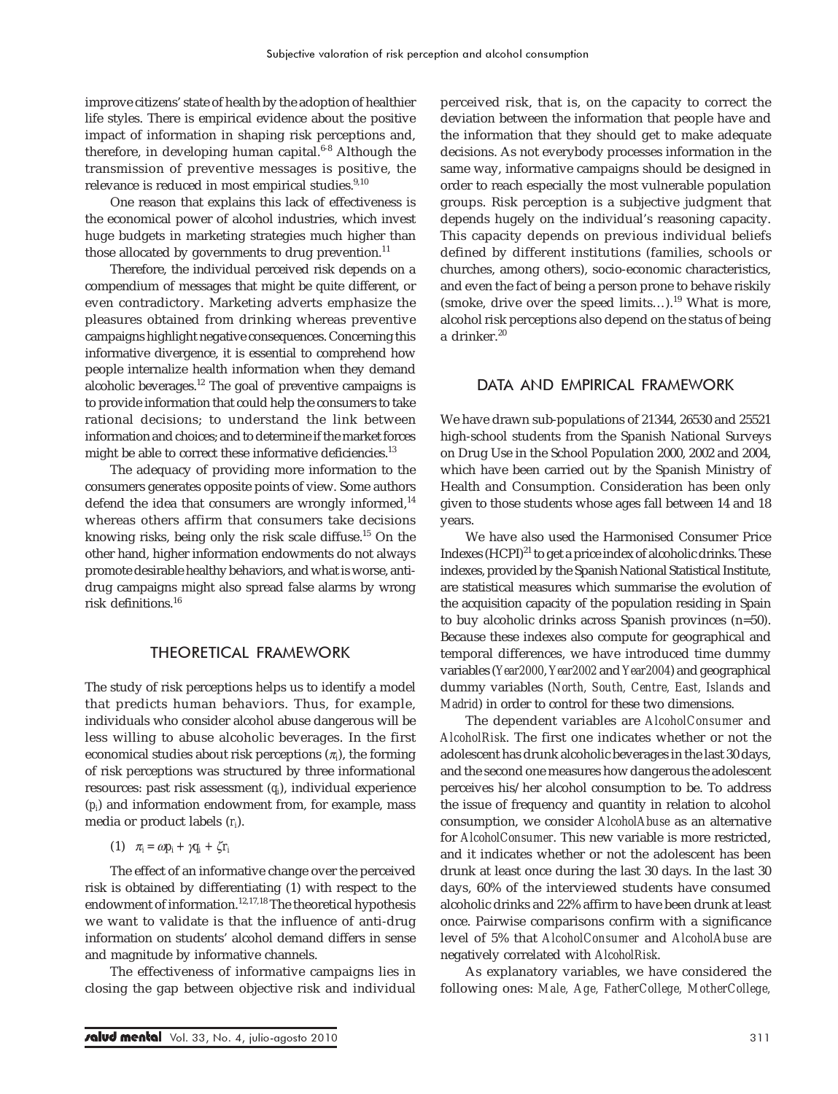improve citizens' state of health by the adoption of healthier life styles. There is empirical evidence about the positive impact of information in shaping risk perceptions and, therefore, in developing human capital. $6-8$  Although the transmission of preventive messages is positive, the relevance is reduced in most empirical studies.<sup>9,10</sup>

One reason that explains this lack of effectiveness is the economical power of alcohol industries, which invest huge budgets in marketing strategies much higher than those allocated by governments to drug prevention. $^{11}$ 

Therefore, the individual perceived risk depends on a compendium of messages that might be quite different, or even contradictory. Marketing adverts emphasize the pleasures obtained from drinking whereas preventive campaigns highlight negative consequences. Concerning this informative divergence, it is essential to comprehend how people internalize health information when they demand alcoholic beverages. $12$  The goal of preventive campaigns is to provide information that could help the consumers to take rational decisions; to understand the link between information and choices; and to determine if the market forces might be able to correct these informative deficiencies.<sup>13</sup>

The adequacy of providing more information to the consumers generates opposite points of view. Some authors defend the idea that consumers are wrongly informed,<sup>14</sup> whereas others affirm that consumers take decisions knowing risks, being only the risk scale diffuse.15 On the other hand, higher information endowments do not always promote desirable healthy behaviors, and what is worse, antidrug campaigns might also spread false alarms by wrong risk definitions.<sup>16</sup>

## THEORETICAL FRAMEWORK

The study of risk perceptions helps us to identify a model that predicts human behaviors. Thus, for example, individuals who consider alcohol abuse dangerous will be less willing to abuse alcoholic beverages. In the first economical studies about risk perceptions  $(\pi_{\!i})$ , the forming of risk perceptions was structured by three informational resources: past risk assessment (*qi* ), individual experience (*pi* ) and information endowment from, for example, mass media or product labels (*ri* ).

(1)  $\pi_i = \omega p_i + \gamma q_i + \zeta r_i$ 

The effect of an informative change over the perceived risk is obtained by differentiating (1) with respect to the endowment of information.<sup>12,17,18</sup> The theoretical hypothesis we want to validate is that the influence of anti-drug information on students' alcohol demand differs in sense and magnitude by informative channels.

The effectiveness of informative campaigns lies in closing the gap between objective risk and individual

perceived risk, that is, on the capacity to correct the deviation between the information that people have and the information that they should get to make adequate decisions. As not everybody processes information in the same way, informative campaigns should be designed in order to reach especially the most vulnerable population groups. Risk perception is a subjective judgment that depends hugely on the individual's reasoning capacity. This capacity depends on previous individual beliefs defined by different institutions (families, schools or churches, among others), socio-economic characteristics, and even the fact of being a person prone to behave riskily (smoke, drive over the speed limits...).<sup>19</sup> What is more, alcohol risk perceptions also depend on the status of being a drinker.<sup>20</sup>

## DATA AND EMPIRICAL FRAMEWORK

We have drawn sub-populations of 21344, 26530 and 25521 high-school students from the Spanish National Surveys on Drug Use in the School Population 2000, 2002 and 2004, which have been carried out by the Spanish Ministry of Health and Consumption. Consideration has been only given to those students whose ages fall between 14 and 18 years.

We have also used the Harmonised Consumer Price Indexes  $(HCPI)^{21}$  to get a price index of alcoholic drinks. These indexes, provided by the Spanish National Statistical Institute, are statistical measures which summarise the evolution of the acquisition capacity of the population residing in Spain to buy alcoholic drinks across Spanish provinces (n=50). Because these indexes also compute for geographical and temporal differences, we have introduced time dummy variables (*Year2000*, *Year2002* and *Year2004*) and geographical dummy variables (*North, South, Centre, East, Islands* and *Madrid*) in order to control for these two dimensions.

The dependent variables are *AlcoholConsumer* and *AlcoholRisk*. The first one indicates whether or not the adolescent has drunk alcoholic beverages in the last 30 days, and the second one measures how dangerous the adolescent perceives his/her alcohol consumption to be. To address the issue of frequency and quantity in relation to alcohol consumption, we consider *AlcoholAbuse* as an alternative for *AlcoholConsumer*. This new variable is more restricted, and it indicates whether or not the adolescent has been drunk at least once during the last 30 days. In the last 30 days, 60% of the interviewed students have consumed alcoholic drinks and 22% affirm to have been drunk at least once. Pairwise comparisons confirm with a significance level of 5% that *AlcoholConsumer* and *AlcoholAbuse* are negatively correlated with *AlcoholRisk*.

As explanatory variables, we have considered the following ones: *Male, Age, FatherCollege, MotherCollege,*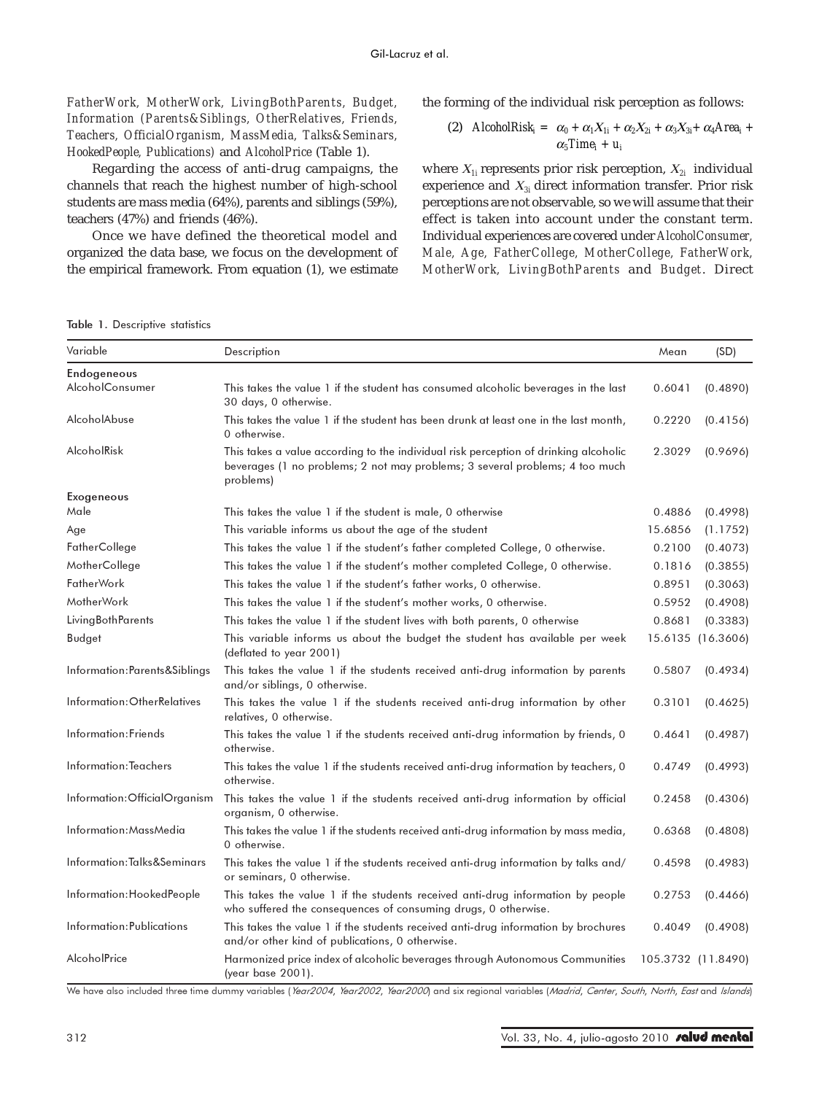*FatherWork, MotherWork, LivingBothParents, Budget, Information (Parents&Siblings, OtherRelatives, Friends, Teachers, OfficialOrganism, MassMedia, Talks&Seminars, HookedPeople, Publications)* and *AlcoholPrice* (Table 1).

Regarding the access of anti-drug campaigns, the channels that reach the highest number of high-school students are mass media (64%), parents and siblings (59%), teachers (47%) and friends (46%).

Once we have defined the theoretical model and organized the data base, we focus on the development of the empirical framework. From equation (1), we estimate the forming of the individual risk perception as follows:

(2) 
$$
\text{AlcoholRisk}_i = \alpha_0 + \alpha_1 X_{1i} + \alpha_2 X_{2i} + \alpha_3 X_{3i} + \alpha_4 \text{Area}_i + \alpha_5 \text{Time}_i + u_i
$$

where <sup>Χ</sup>*1i* represents prior risk perception, <sup>Χ</sup>*2i* individual experience and <sup>Χ</sup>*3i* direct information transfer. Prior risk perceptions are not observable, so we will assume that their effect is taken into account under the constant term. Individual experiences are covered under *AlcoholConsumer, Male, Age, FatherCollege, MotherCollege, FatherWork, MotherWork, LivingBothParents* and *Budget*. Direct

Table 1. Descriptive statistics

| Variable                      | Description                                                                                                                                                                       | Mean    | (SD)               |
|-------------------------------|-----------------------------------------------------------------------------------------------------------------------------------------------------------------------------------|---------|--------------------|
| Endogeneous                   |                                                                                                                                                                                   |         |                    |
| <b>AlcoholConsumer</b>        | This takes the value 1 if the student has consumed alcoholic beverages in the last<br>30 days, 0 otherwise.                                                                       | 0.6041  | (0.4890)           |
| AlcoholAbuse                  | This takes the value 1 if the student has been drunk at least one in the last month,<br>0 otherwise.                                                                              | 0.2220  | (0.4156)           |
| AlcoholRisk                   | This takes a value according to the individual risk perception of drinking alcoholic<br>beverages (1 no problems; 2 not may problems; 3 several problems; 4 too much<br>problems) | 2.3029  | (0.9696)           |
| <b>Exogeneous</b>             |                                                                                                                                                                                   |         |                    |
| Male                          | This takes the value 1 if the student is male, 0 otherwise                                                                                                                        | 0.4886  | (0.4998)           |
| Age                           | This variable informs us about the age of the student                                                                                                                             | 15.6856 | (1.1752)           |
| FatherCollege                 | This takes the value 1 if the student's father completed College, 0 otherwise.                                                                                                    | 0.2100  | (0.4073)           |
| MotherCollege                 | This takes the value 1 if the student's mother completed College, 0 otherwise.                                                                                                    | 0.1816  | (0.3855)           |
| <b>FatherWork</b>             | This takes the value 1 if the student's father works, 0 otherwise.                                                                                                                | 0.8951  | (0.3063)           |
| <b>MotherWork</b>             | This takes the value 1 if the student's mother works, 0 otherwise.                                                                                                                | 0.5952  | (0.4908)           |
| <b>LivingBothParents</b>      | This takes the value 1 if the student lives with both parents, 0 otherwise                                                                                                        | 0.8681  | (0.3383)           |
| <b>Budget</b>                 | This variable informs us about the budget the student has available per week<br>(deflated to year 2001)                                                                           |         | 15.6135 (16.3606)  |
| Information: Parents&Siblings | This takes the value 1 if the students received anti-drug information by parents<br>and/or siblings, 0 otherwise.                                                                 | 0.5807  | (0.4934)           |
| Information: OtherRelatives   | This takes the value 1 if the students received anti-drug information by other<br>relatives, 0 otherwise.                                                                         | 0.3101  | (0.4625)           |
| Information: Friends          | This takes the value 1 if the students received anti-drug information by friends, 0<br>otherwise.                                                                                 | 0.4641  | (0.4987)           |
| Information: Teachers         | This takes the value 1 if the students received anti-drug information by teachers, 0<br>otherwise.                                                                                | 0.4749  | (0.4993)           |
| Information: OfficialOrganism | This takes the value 1 if the students received anti-drug information by official<br>organism, 0 otherwise.                                                                       | 0.2458  | (0.4306)           |
| Information:MassMedia         | This takes the value 1 if the students received anti-drug information by mass media,<br>0 otherwise.                                                                              | 0.6368  | (0.4808)           |
| Information:Talks&Seminars    | This takes the value 1 if the students received anti-drug information by talks and/<br>or seminars, 0 otherwise.                                                                  | 0.4598  | (0.4983)           |
| Information: HookedPeople     | This takes the value 1 if the students received anti-drug information by people<br>who suffered the consequences of consuming drugs, 0 otherwise.                                 | 0.2753  | (0.4466)           |
| Information: Publications     | This takes the value 1 if the students received anti-drug information by brochures<br>and/or other kind of publications, 0 otherwise.                                             | 0.4049  | (0.4908)           |
| AlcoholPrice                  | Harmonized price index of alcoholic beverages through Autonomous Communities<br>(year base 2001).                                                                                 |         | 105.3732 (11.8490) |

We have also included three time dummy variables (Year2004, Year2002, Year2000) and six regional variables (Madrid, Center, South, North, East and Islands)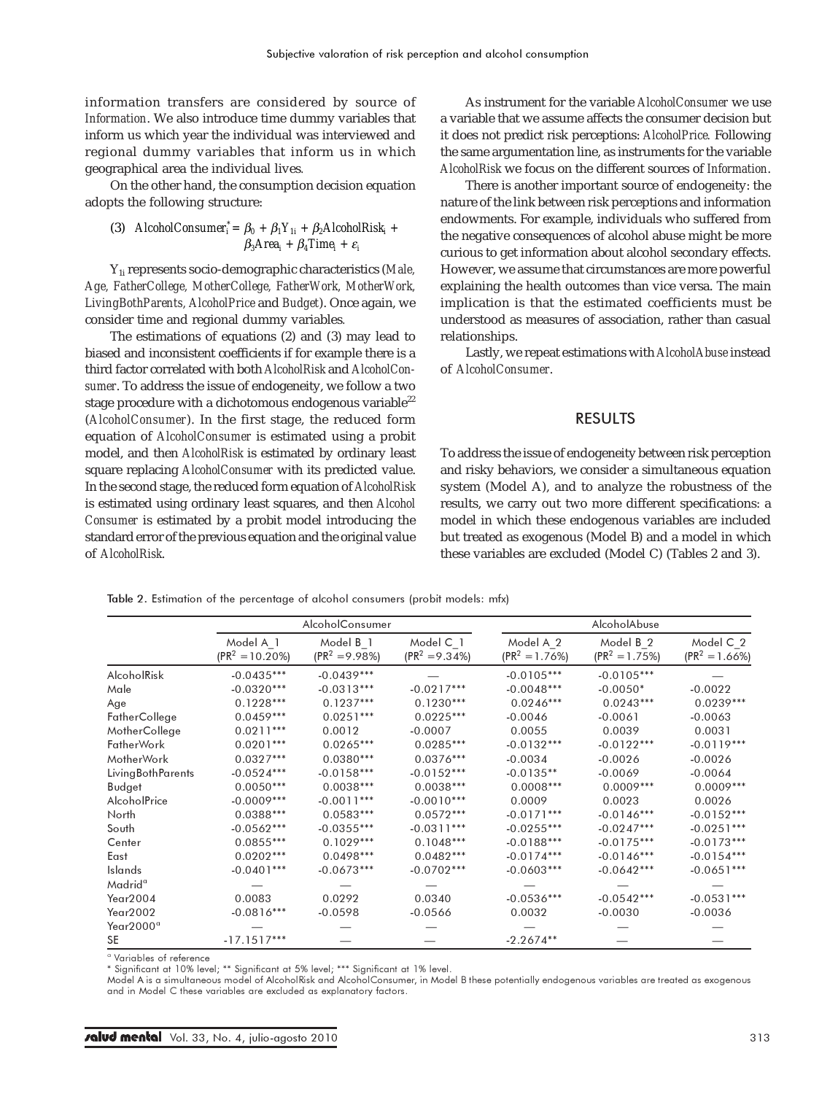information transfers are considered by source of *Information*. We also introduce time dummy variables that inform us which year the individual was interviewed and regional dummy variables that inform us in which geographical area the individual lives*.*

On the other hand, the consumption decision equation adopts the following structure:

(3) *AlcoholConsumer*<sub>i</sub><sup>\*</sup> = 
$$
\beta_0 + \beta_1 Y_{1i} + \beta_2 A \text{IcoholRisk}_i + \beta_3 \text{Area}_i + \beta_4 \text{Time}_i + \varepsilon_i
$$

Y1i represents socio-demographic characteristics (*Male, Age, FatherCollege, MotherCollege, FatherWork, MotherWork, LivingBothParents, AlcoholPrice* and *Budget*). Once again, we consider time and regional dummy variables*.*

The estimations of equations (2) and (3) may lead to biased and inconsistent coefficients if for example there is a third factor correlated with both *AlcoholRisk* and *AlcoholConsumer*. To address the issue of endogeneity, we follow a two stage procedure with a dichotomous endogenous variable $^{22}$ (*AlcoholConsumer*). In the first stage, the reduced form equation of *AlcoholConsumer* is estimated using a probit model, and then *AlcoholRisk* is estimated by ordinary least square replacing *AlcoholConsumer* with its predicted value. In the second stage, the reduced form equation of *AlcoholRisk* is estimated using ordinary least squares, and then *Alcohol Consumer* is estimated by a probit model introducing the standard error of the previous equation and the original value of *AlcoholRisk*.

As instrument for the variable *AlcoholConsumer* we use a variable that we assume affects the consumer decision but it does not predict risk perceptions: *AlcoholPrice.* Following the same argumentation line, as instruments for the variable *AlcoholRisk* we focus on the different sources of *Information*.

There is another important source of endogeneity: the nature of the link between risk perceptions and information endowments. For example, individuals who suffered from the negative consequences of alcohol abuse might be more curious to get information about alcohol secondary effects. However, we assume that circumstances are more powerful explaining the health outcomes than vice versa. The main implication is that the estimated coefficients must be understood as measures of association, rather than casual relationships.

Lastly, we repeat estimations with *AlcoholAbuse* instead of *AlcoholConsumer*.

# RESULTS

To address the issue of endogeneity between risk perception and risky behaviors, we consider a simultaneous equation system (Model A), and to analyze the robustness of the results, we carry out two more different specifications: a model in which these endogenous variables are included but treated as exogenous (Model B) and a model in which these variables are excluded (Model C) (Tables 2 and 3).

Table 2. Estimation of the percentage of alcohol consumers (probit models: mfx)

|                     |                                 | AlcoholConsumer                           |                                |                                | AlcoholAbuse                             |                              |
|---------------------|---------------------------------|-------------------------------------------|--------------------------------|--------------------------------|------------------------------------------|------------------------------|
|                     | Model A 1<br>$(PR^2 = 10.20\%)$ | Model B <sub>1</sub><br>$(PR^2 = 9.98\%)$ | Model C 1<br>$(PR^2 = 9.34\%)$ | Model A 2<br>$(PR^2 = 1.76\%)$ | Model B <sub>2</sub><br>$(PR^2 = 1.75%)$ | Model C 2<br>$(PR2 = 1.66%)$ |
| AlcoholRisk         | $-0.0435***$                    | $-0.0439***$                              |                                | $-0.0105***$                   | $-0.0105***$                             |                              |
| Male                | $-0.0320***$                    | $-0.0313***$                              | $-0.0217***$                   | $-0.0048***$                   | $-0.0050*$                               | $-0.0022$                    |
| Age                 | $0.1228***$                     | $0.1237***$                               | $0.1230***$                    | $0.0246***$                    | $0.0243***$                              | $0.0239***$                  |
| FatherCollege       | $0.0459***$                     | $0.0251***$                               | $0.0225***$                    | $-0.0046$                      | $-0.0061$                                | $-0.0063$                    |
| MotherCollege       | $0.0211***$                     | 0.0012                                    | $-0.0007$                      | 0.0055                         | 0.0039                                   | 0.0031                       |
| <b>FatherWork</b>   | $0.0201***$                     | $0.0265***$                               | $0.0285***$                    | $-0.0132***$                   | $-0.0122***$                             | $-0.0119***$                 |
| MotherWork          | $0.0327***$                     | $0.0380***$                               | $0.0376***$                    | $-0.0034$                      | $-0.0026$                                | $-0.0026$                    |
| LivingBothParents   | $-0.0524***$                    | $-0.0158***$                              | $-0.0152***$                   | $-0.0135**$                    | $-0.0069$                                | $-0.0064$                    |
| Budget              | $0.0050***$                     | $0.0038***$                               | $0.0038***$                    | $0.0008***$                    | $0.0009***$                              | $0.0009***$                  |
| AlcoholPrice        | $-0.0009***$                    | $-0.0011***$                              | $-0.0010***$                   | 0.0009                         | 0.0023                                   | 0.0026                       |
| North               | $0.0388***$                     | $0.0583***$                               | $0.0572***$                    | $-0.0171***$                   | $-0.0146***$                             | $-0.0152***$                 |
| South               | $-0.0562***$                    | $-0.0355***$                              | $-0.0311***$                   | $-0.0255***$                   | $-0.0247***$                             | $-0.0251***$                 |
| Center              | $0.0855***$                     | $0.1029***$                               | $0.1048***$                    | $-0.0188***$                   | $-0.0175***$                             | $-0.0173***$                 |
| East                | $0.0202***$                     | $0.0498***$                               | $0.0482***$                    | $-0.0174***$                   | $-0.0146***$                             | $-0.0154***$                 |
| Islands             | $-0.0401***$                    | $-0.0673***$                              | $-0.0702***$                   | $-0.0603***$                   | $-0.0642***$                             | $-0.0651***$                 |
| Madrid <sup>a</sup> |                                 |                                           |                                |                                |                                          |                              |
| Year2004            | 0.0083                          | 0.0292                                    | 0.0340                         | $-0.0536***$                   | $-0.0542***$                             | $-0.0531***$                 |
| Year2002            | $-0.0816***$                    | $-0.0598$                                 | $-0.0566$                      | 0.0032                         | $-0.0030$                                | $-0.0036$                    |
| Year2000ª           |                                 |                                           |                                |                                |                                          |                              |
| <b>SE</b>           | $-17.1517***$                   |                                           |                                | $-2.2674**$                    |                                          |                              |

<sup>a</sup> Variables of reference

\* Significant at 10% level; \*\* Significant at 5% level; \*\*\* Significant at 1% level.

Model A is a simultaneous model of AlcoholRisk and AlcoholConsumer, in Model B these potentially endogenous variables are treated as exogenous and in Model C these variables are excluded as explanatory factors.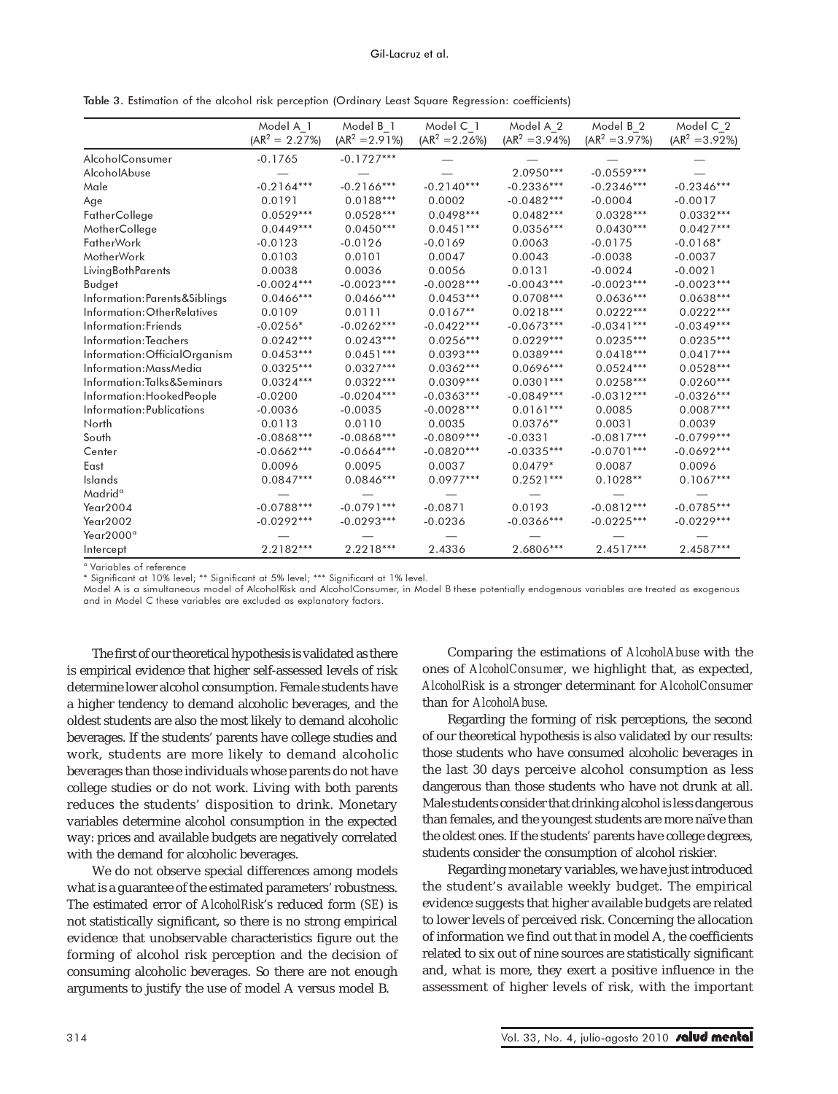|  |  |  |  | Table 3. Estimation of the alcohol risk perception (Ordinary Least Square Regression: coefficients) |  |
|--|--|--|--|-----------------------------------------------------------------------------------------------------|--|
|--|--|--|--|-----------------------------------------------------------------------------------------------------|--|

|                               | Model A 1         | Model B 1         | Model C 1         | Model A 2         | Model B 2         | Model C 2         |
|-------------------------------|-------------------|-------------------|-------------------|-------------------|-------------------|-------------------|
|                               | $(AR^2 = 2.27\%)$ | $(AR^2 = 2.91\%)$ | $(AR^2 = 2.26\%)$ | $(AR^2 = 3.94\%)$ | $(AR^2 = 3.97\%)$ | $(AR^2 = 3.92\%)$ |
| <b>AlcoholConsumer</b>        | $-0.1765$         | $-0.1727***$      |                   |                   |                   |                   |
| AlcoholAbuse                  |                   |                   |                   | 2.0950***         | $-0.0559***$      |                   |
| Male                          | $-0.2164***$      | $-0.2166***$      | $-0.2140***$      | $-0.2336***$      | $-0.2346***$      | $-0.2346***$      |
| Age                           | 0.0191            | $0.0188***$       | 0.0002            | $-0.0482***$      | $-0.0004$         | $-0.0017$         |
| FatherCollege                 | $0.0529***$       | $0.0528***$       | $0.0498***$       | $0.0482***$       | $0.0328***$       | $0.0332***$       |
| MotherCollege                 | $0.0449***$       | $0.0450***$       | $0.0451***$       | $0.0356***$       | $0.0430***$       | $0.0427***$       |
| <b>FatherWork</b>             | $-0.0123$         | $-0.0126$         | $-0.0169$         | 0.0063            | $-0.0175$         | $-0.0168*$        |
| MotherWork                    | 0.0103            | 0.0101            | 0.0047            | 0.0043            | $-0.0038$         | $-0.0037$         |
| LivingBothParents             | 0.0038            | 0.0036            | 0.0056            | 0.0131            | $-0.0024$         | $-0.0021$         |
| Budget                        | $-0.0024***$      | $-0.0023***$      | $-0.0028***$      | $-0.0043***$      | $-0.0023***$      | $-0.0023***$      |
| Information: Parents&Siblings | $0.0466***$       | $0.0466***$       | $0.0453***$       | $0.0708***$       | $0.0636***$       | $0.0638***$       |
| Information: Other Relatives  | 0.0109            | 0.0111            | $0.0167**$        | $0.0218***$       | $0.0222***$       | $0.0222***$       |
| Information: Friends          | $-0.0256*$        | $-0.0262***$      | $-0.0422***$      | $-0.0673***$      | $-0.0341***$      | $-0.0349***$      |
| Information: Teachers         | $0.0242***$       | $0.0243***$       | $0.0256***$       | $0.0229***$       | $0.0235***$       | $0.0235***$       |
| Information: OfficialOrganism | $0.0453***$       | $0.0451***$       | $0.0393***$       | $0.0389***$       | $0.0418***$       | $0.0417***$       |
| Information: Mass Media       | $0.0325***$       | $0.0327***$       | $0.0362***$       | $0.0696***$       | $0.0524***$       | $0.0528***$       |
| Information:Talks&Seminars    | $0.0324***$       | $0.0322***$       | $0.0309***$       | $0.0301***$       | $0.0258***$       | $0.0260***$       |
| Information: HookedPeople     | $-0.0200$         | $-0.0204***$      | $-0.0363***$      | $-0.0849***$      | $-0.0312***$      | $-0.0326***$      |
| Information: Publications     | $-0.0036$         | $-0.0035$         | $-0.0028***$      | $0.0161***$       | 0.0085            | $0.0087***$       |
| North                         | 0.0113            | 0.0110            | 0.0035            | $0.0376**$        | 0.0031            | 0.0039            |
| South                         | $-0.0868***$      | $-0.0868***$      | $-0.0809***$      | $-0.0331$         | $-0.0817***$      | $-0.0799***$      |
| Center                        | $-0.0662***$      | $-0.0664***$      | $-0.0820***$      | $-0.0335***$      | $-0.0701***$      | $-0.0692***$      |
| East                          | 0.0096            | 0.0095            | 0.0037            | $0.0479*$         | 0.0087            | 0.0096            |
| Islands                       | $0.0847***$       | $0.0846***$       | $0.0977***$       | $0.2521***$       | $0.1028**$        | $0.1067***$       |
| Madrid <sup>a</sup>           |                   |                   |                   |                   |                   |                   |
| Year2004                      | $-0.0788***$      | $-0.0791***$      | $-0.0871$         | 0.0193            | $-0.0812***$      | $-0.0785***$      |
| Year2002                      | $-0.0292***$      | $-0.0293***$      | $-0.0236$         | $-0.0366***$      | $-0.0225***$      | $-0.0229***$      |
| Year2000 <sup>a</sup>         |                   |                   |                   |                   |                   |                   |
| Intercept                     | 2.2182***         | 2.2218***         | 2.4336            | 2.6806***         | $2.4517***$       | $2.4587***$       |

a Variables of reference

\* Significant at 10% level; \*\* Significant at 5% level; \*\*\* Significant at 1% level.

Model A is a simultaneous model of AlcoholRisk and AlcoholConsumer, in Model B these potentially endogenous variables are treated as exogenous and in Model C these variables are excluded as explanatory factors.

The first of our theoretical hypothesis is validated as there is empirical evidence that higher self-assessed levels of risk determine lower alcohol consumption. Female students have a higher tendency to demand alcoholic beverages, and the oldest students are also the most likely to demand alcoholic beverages. If the students' parents have college studies and work, students are more likely to demand alcoholic beverages than those individuals whose parents do not have college studies or do not work. Living with both parents reduces the students' disposition to drink. Monetary variables determine alcohol consumption in the expected way: prices and available budgets are negatively correlated with the demand for alcoholic beverages.

We do not observe special differences among models what is a guarantee of the estimated parameters' robustness. The estimated error of *AlcoholRisk*'s reduced form (*SE*) is not statistically significant, so there is no strong empirical evidence that unobservable characteristics figure out the forming of alcohol risk perception and the decision of consuming alcoholic beverages. So there are not enough arguments to justify the use of model A versus model B.

Comparing the estimations of *AlcoholAbuse* with the ones of *AlcoholConsumer*, we highlight that, as expected, *AlcoholRisk* is a stronger determinant for *AlcoholConsumer* than for *AlcoholAbuse*.

Regarding the forming of risk perceptions, the second of our theoretical hypothesis is also validated by our results: those students who have consumed alcoholic beverages in the last 30 days perceive alcohol consumption as less dangerous than those students who have not drunk at all. Male students consider that drinking alcohol is less dangerous than females, and the youngest students are more naïve than the oldest ones. If the students' parents have college degrees, students consider the consumption of alcohol riskier.

Regarding monetary variables, we have just introduced the student's available weekly budget. The empirical evidence suggests that higher available budgets are related to lower levels of perceived risk. Concerning the allocation of information we find out that in model A, the coefficients related to six out of nine sources are statistically significant and, what is more, they exert a positive influence in the assessment of higher levels of risk, with the important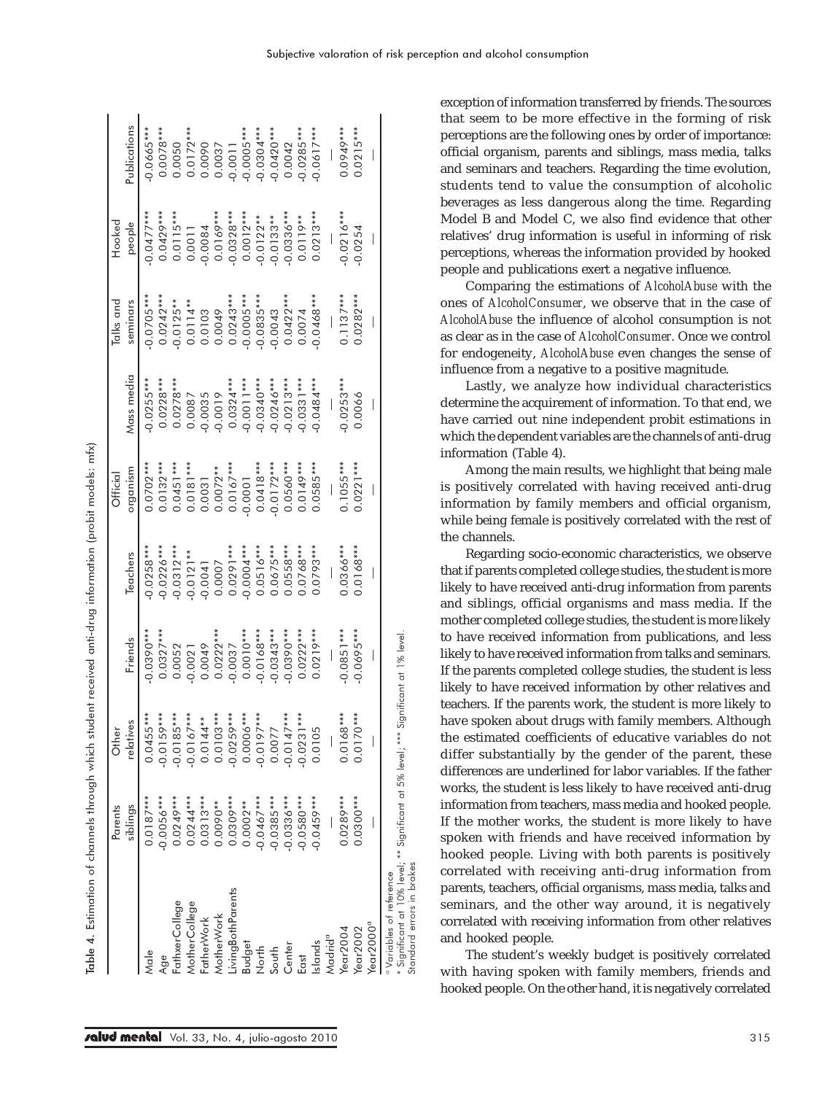| $\frac{1}{2}$                         |
|---------------------------------------|
| $\frac{1}{2}$                         |
|                                       |
| l                                     |
| <b>122222-011</b>                     |
| )<br>J<br>J<br>i                      |
| )<br>)<br>)<br>)                      |
|                                       |
|                                       |
| į<br>j<br>b<br>j                      |
|                                       |
| Ĩ                                     |
| I<br>I                                |
| $\overline{\mathsf{e}}$<br>Table<br>I |

|                                                                                                  | Parents     | Othe                        |                         |                                      | Official                                                             |                            | Talks and                           | Hooked                                                                                       |                                           |
|--------------------------------------------------------------------------------------------------|-------------|-----------------------------|-------------------------|--------------------------------------|----------------------------------------------------------------------|----------------------------|-------------------------------------|----------------------------------------------------------------------------------------------|-------------------------------------------|
|                                                                                                  | siblings    | relatives                   | Friends                 | Teachers                             | organism                                                             | Mass media                 | seminars                            | people                                                                                       | Publications                              |
| Male                                                                                             | $0.0187***$ | $0.0455***$                 | 0.0390 ***              | $0.0258***$                          | $0.0702***$                                                          | $0.0255***$                | $0.0705***$                         | $0.0477***$                                                                                  | $0.0665***$                               |
| Age                                                                                              | $0.0056***$ | $0.0159***$                 | $0.0327***$             | $0.0226***$                          | $0.0132***$                                                          | $0.0228***$                |                                     |                                                                                              | $0.0078***$                               |
| FathxerCollege                                                                                   | $0.0249***$ | $0.0185***$                 | 0.0052                  | $0.0312***$                          | $0.0451***$                                                          | $0.0278***$                | $0.0242***$<br>-0.0125**            |                                                                                              | 0.0050                                    |
| <b>MotherCollege</b>                                                                             | $0.0244***$ | $0.0167***$                 | $0.0021$<br>$0.0049$    | $-0.0121**$<br>$-0.0041$<br>$0.0007$ | $\begin{array}{c} 0.0181^{***} \\ 0.0031 \\ 0.0072^{**} \end{array}$ | 0.0087                     | $0.0114**$<br>0.0103<br>0.0049      | $\begin{array}{c} 0.0429***\\ 0.0115***\\ 0.0011\\ 0.0001\\ -0.0084\\ 0.0169*** \end{array}$ | $0.0172***$<br>0.0090<br>0.0037           |
| FatherWork                                                                                       | $0.0313***$ | $0.0144**$                  |                         |                                      |                                                                      |                            |                                     |                                                                                              |                                           |
| MotherWork                                                                                       | 0.0090**    | $0.0103***$<br>$-0.0259***$ | $0.0222***$             |                                      |                                                                      | 0.0035                     |                                     |                                                                                              |                                           |
| ivingBothParents                                                                                 | $0.0309***$ |                             | 0.0037                  |                                      | $0.0167***$                                                          |                            |                                     |                                                                                              |                                           |
| <b>Budget</b>                                                                                    | $0.0002**$  | $0.0006***$                 | $0.0010***$             | $0.0291***$                          | 0.0001                                                               | $0.0324***$<br>$0.0011***$ | $0.0243***$<br>$0.0005***$          | $-0.0328***$<br>0.0012***                                                                    |                                           |
| North                                                                                            | $0.0467***$ | $0.0197***$                 | $0.0168***$             | $0.0516***$                          | $0.0418***$                                                          | $0.0340***$                | $0.0835***$                         | $-0.0122**$<br>$-0.0133**$<br>$-0.0336***$<br>$0.0119**$                                     | $-0.0011$<br>$-0.0005***$<br>$-0.0304***$ |
| South                                                                                            | $0.0385***$ | 0.0077                      | $0.0343***$             | $0.0675***$                          |                                                                      |                            |                                     |                                                                                              |                                           |
| Center                                                                                           | $0.0336***$ | $0.0147***$                 | $0.0390***$             | $0.0558***$                          | $0.0172***$<br>0.0560***                                             | $-0.0246***$               | $0.0043$<br>$0.0422***$<br>$0.0074$ |                                                                                              | $-0.0420***$<br>0.0042                    |
| East                                                                                             | $0.0580***$ | $0.0231***$                 | $0.0222***$             | $0.0768***$                          | $0.0149***$                                                          | $0.0331***$                |                                     |                                                                                              | $0.0285***$                               |
| Islands                                                                                          | $0.0459***$ | 0.0105                      | $0.0219***$             | 1.0793***                            | 0.0585***                                                            | $0.0484***$                | $0.0468***$                         | $0.0213***$                                                                                  | $0.0617***$                               |
| Madrid <sup>a</sup>                                                                              |             |                             |                         |                                      |                                                                      |                            |                                     |                                                                                              |                                           |
| Year $2004$                                                                                      | $0.0289***$ | $0.0168***$                 | $0.0851***$             | $0.0366***$                          | $0.1055***$                                                          | $0.0253***$                | $0.1137***$                         | $0.0216***$                                                                                  | 0.0949***                                 |
| Year $2002$                                                                                      | $0.0300***$ | $0.0170***$                 | $0.0695***$             | 1.0168***                            | $0.0221***$                                                          | 0.0066                     | $0.0282***$                         | 0.0254                                                                                       | $0.0215***$                               |
| Year2000ª                                                                                        |             |                             |                         |                                      |                                                                      |                            |                                     |                                                                                              |                                           |
| Significant at 10% level; ** Significant at 5% level; ***<br><sup>o</sup> Variables of reference |             |                             | Significant at 1% level |                                      |                                                                      |                            |                                     |                                                                                              |                                           |
| Standard errors in brakes                                                                        |             |                             |                         |                                      |                                                                      |                            |                                     |                                                                                              |                                           |

exception of information transferred by friends. The sources that seem to be more effective in the forming of risk perceptions are the following ones by order of importance: official organism, parents and siblings, mass media, talks and seminars and teachers. Regarding the time evolution, students tend to value the consumption of alcoholic beverages as less dangerous along the time. Regarding Model B and Model C, we also find evidence that other relatives' drug information is useful in informing of risk perceptions, whereas the information provided by hooked people and publications exert a negative influence.

Comparing the estimations of *AlcoholAbuse* with the ones of *AlcoholConsumer*, we observe that in the case of *AlcoholAbuse* the influence of alcohol consumption is not as clear as in the case of *AlcoholConsumer*. Once we control for endogeneity, *AlcoholAbuse* even changes the sense of influence from a negative to a positive magnitude.

Lastly, we analyze how individual characteristics determine the acquirement of information. To that end, we have carried out nine independent probit estimations in which the dependent variables are the channels of anti-drug information (Table 4).

Among the main results, we highlight that being male is positively correlated with having received anti-drug information by family members and official organism, while being female is positively correlated with the rest of the channels.

Regarding socio-economic characteristics, we observe that if parents completed college studies, the student is more likely to have received anti-drug information from parents and siblings, official organisms and mass media. If the mother completed college studies, the student is more likely to have received information from publications, and less likely to have received information from talks and seminars. If the parents completed college studies, the student is less likely to have received information by other relatives and teachers. If the parents work, the student is more likely to have spoken about drugs with family members. Although the estimated coefficients of educative variables do not differ substantially by the gender of the parent, these differences are underlined for labor variables. If the father works, the student is less likely to have received anti-drug information from teachers, mass media and hooked people. If the mother works, the student is more likely to have spoken with friends and have received information by hooked people. Living with both parents is positively correlated with receiving anti-drug information from parents, teachers, official organisms, mass media, talks and seminars, and the other way around, it is negatively correlated with receiving information from other relatives and hooked people.

The student's weekly budget is positively correlated with having spoken with family members, friends and hooked people. On the other hand, it is negatively correlated